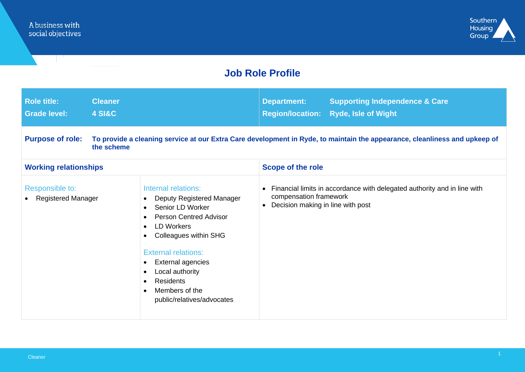

# **Job Role Profile**

| <b>Role title:</b><br><b>Grade level:</b>    | <b>Cleaner</b><br><b>4 SI&amp;C</b>                                                                                                      |                                                                                                                                                                                                                                                                                                                                | <b>Department:</b>                                                                                                                                   | <b>Supporting Independence &amp; Care</b><br>Region/location: Ryde, Isle of Wight |  |
|----------------------------------------------|------------------------------------------------------------------------------------------------------------------------------------------|--------------------------------------------------------------------------------------------------------------------------------------------------------------------------------------------------------------------------------------------------------------------------------------------------------------------------------|------------------------------------------------------------------------------------------------------------------------------------------------------|-----------------------------------------------------------------------------------|--|
| <b>Purpose of role:</b>                      | To provide a cleaning service at our Extra Care development in Ryde, to maintain the appearance, cleanliness and upkeep of<br>the scheme |                                                                                                                                                                                                                                                                                                                                |                                                                                                                                                      |                                                                                   |  |
| <b>Working relationships</b>                 |                                                                                                                                          |                                                                                                                                                                                                                                                                                                                                | <b>Scope of the role</b>                                                                                                                             |                                                                                   |  |
| Responsible to:<br><b>Registered Manager</b> |                                                                                                                                          | Internal relations:<br>Deputy Registered Manager<br>$\bullet$<br>Senior LD Worker<br><b>Person Centred Advisor</b><br><b>LD Workers</b><br>Colleagues within SHG<br><b>External relations:</b><br><b>External agencies</b><br>$\bullet$<br>Local authority<br><b>Residents</b><br>Members of the<br>public/relatives/advocates | Financial limits in accordance with delegated authority and in line with<br>$\bullet$<br>compensation framework<br>Decision making in line with post |                                                                                   |  |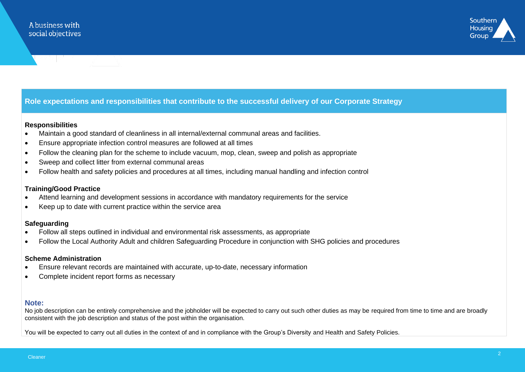

### **Role expectations and responsibilities that contribute to the successful delivery of our Corporate Strategy**

#### **Responsibilities**

- Maintain a good standard of cleanliness in all internal/external communal areas and facilities.
- Ensure appropriate infection control measures are followed at all times
- Follow the cleaning plan for the scheme to include vacuum, mop, clean, sweep and polish as appropriate
- Sweep and collect litter from external communal areas
- Follow health and safety policies and procedures at all times, including manual handling and infection control

#### **Training/Good Practice**

- Attend learning and development sessions in accordance with mandatory requirements for the service
- Keep up to date with current practice within the service area

#### **Safeguarding**

- Follow all steps outlined in individual and environmental risk assessments, as appropriate
- Follow the Local Authority Adult and children Safeguarding Procedure in conjunction with SHG policies and procedures

#### **Scheme Administration**

- Ensure relevant records are maintained with accurate, up-to-date, necessary information
- Complete incident report forms as necessary

#### **Note:**

No job description can be entirely comprehensive and the jobholder will be expected to carry out such other duties as may be required from time to time and are broadly consistent with the job description and status of the post within the organisation.

You will be expected to carry out all duties in the context of and in compliance with the Group's Diversity and Health and Safety Policies.